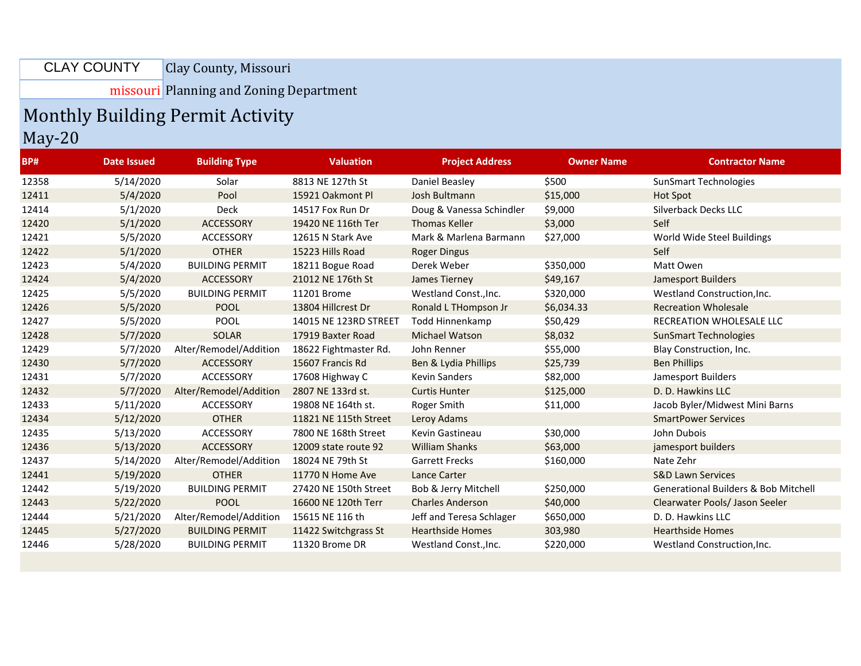Clay County, Missouri CLAY COUNTY

missouri Planning and Zoning Department

## Monthly Building Permit Activity

May-20

| <b>BP#</b> | Date Issued | <b>Building Type</b>   | <b>Valuation</b>      | <b>Project Address</b>   | <b>Owner Name</b> | <b>Contractor Name</b>                          |
|------------|-------------|------------------------|-----------------------|--------------------------|-------------------|-------------------------------------------------|
| 12358      | 5/14/2020   | Solar                  | 8813 NE 127th St      | Daniel Beasley           | \$500             | <b>SunSmart Technologies</b>                    |
| 12411      | 5/4/2020    | Pool                   | 15921 Oakmont Pl      | Josh Bultmann            | \$15,000          | Hot Spot                                        |
| 12414      | 5/1/2020    | Deck                   | 14517 Fox Run Dr      | Doug & Vanessa Schindler | \$9,000           | Silverback Decks LLC                            |
| 12420      | 5/1/2020    | ACCESSORY              | 19420 NE 116th Ter    | <b>Thomas Keller</b>     | \$3,000           | Self                                            |
| 12421      | 5/5/2020    | <b>ACCESSORY</b>       | 12615 N Stark Ave     | Mark & Marlena Barmann   | \$27,000          | World Wide Steel Buildings                      |
| 12422      | 5/1/2020    | <b>OTHER</b>           | 15223 Hills Road      | <b>Roger Dingus</b>      |                   | Self                                            |
| 12423      | 5/4/2020    | <b>BUILDING PERMIT</b> | 18211 Bogue Road      | Derek Weber              | \$350,000         | Matt Owen                                       |
| 12424      | 5/4/2020    | <b>ACCESSORY</b>       | 21012 NE 176th St     | James Tierney            | \$49,167          | Jamesport Builders                              |
| 12425      | 5/5/2020    | <b>BUILDING PERMIT</b> | 11201 Brome           | Westland Const., Inc.    | \$320,000         | Westland Construction, Inc.                     |
| 12426      | 5/5/2020    | <b>POOL</b>            | 13804 Hillcrest Dr    | Ronald L THompson Jr     | \$6,034.33        | <b>Recreation Wholesale</b>                     |
| 12427      | 5/5/2020    | <b>POOL</b>            | 14015 NE 123RD STREET | Todd Hinnenkamp          | \$50,429          | RECREATION WHOLESALE LLC                        |
| 12428      | 5/7/2020    | <b>SOLAR</b>           | 17919 Baxter Road     | <b>Michael Watson</b>    | \$8,032           | <b>SunSmart Technologies</b>                    |
| 12429      | 5/7/2020    | Alter/Remodel/Addition | 18622 Fightmaster Rd. | John Renner              | \$55,000          | Blay Construction, Inc.                         |
| 12430      | 5/7/2020    | <b>ACCESSORY</b>       | 15607 Francis Rd      | Ben & Lydia Phillips     | \$25,739          | <b>Ben Phillips</b>                             |
| 12431      | 5/7/2020    | ACCESSORY              | 17608 Highway C       | <b>Kevin Sanders</b>     | \$82,000          | Jamesport Builders                              |
| 12432      | 5/7/2020    | Alter/Remodel/Addition | 2807 NE 133rd st.     | <b>Curtis Hunter</b>     | \$125,000         | D. D. Hawkins LLC                               |
| 12433      | 5/11/2020   | ACCESSORY              | 19808 NE 164th st.    | Roger Smith              | \$11,000          | Jacob Byler/Midwest Mini Barns                  |
| 12434      | 5/12/2020   | <b>OTHER</b>           | 11821 NE 115th Street | Leroy Adams              |                   | <b>SmartPower Services</b>                      |
| 12435      | 5/13/2020   | ACCESSORY              | 7800 NE 168th Street  | Kevin Gastineau          | \$30,000          | John Dubois                                     |
| 12436      | 5/13/2020   | <b>ACCESSORY</b>       | 12009 state route 92  | <b>William Shanks</b>    | \$63,000          | jamesport builders                              |
| 12437      | 5/14/2020   | Alter/Remodel/Addition | 18024 NE 79th St      | <b>Garrett Frecks</b>    | \$160,000         | Nate Zehr                                       |
| 12441      | 5/19/2020   | <b>OTHER</b>           | 11770 N Home Ave      | <b>Lance Carter</b>      |                   | <b>S&amp;D Lawn Services</b>                    |
| 12442      | 5/19/2020   | <b>BUILDING PERMIT</b> | 27420 NE 150th Street | Bob & Jerry Mitchell     | \$250,000         | <b>Generational Builders &amp; Bob Mitchell</b> |
| 12443      | 5/22/2020   | <b>POOL</b>            | 16600 NE 120th Terr   | <b>Charles Anderson</b>  | \$40,000          | Clearwater Pools/ Jason Seeler                  |
| 12444      | 5/21/2020   | Alter/Remodel/Addition | 15615 NE 116 th       | Jeff and Teresa Schlager | \$650,000         | D. D. Hawkins LLC                               |
| 12445      | 5/27/2020   | <b>BUILDING PERMIT</b> | 11422 Switchgrass St  | <b>Hearthside Homes</b>  | 303,980           | <b>Hearthside Homes</b>                         |
| 12446      | 5/28/2020   | <b>BUILDING PERMIT</b> | 11320 Brome DR        | Westland Const., Inc.    | \$220,000         | Westland Construction, Inc.                     |